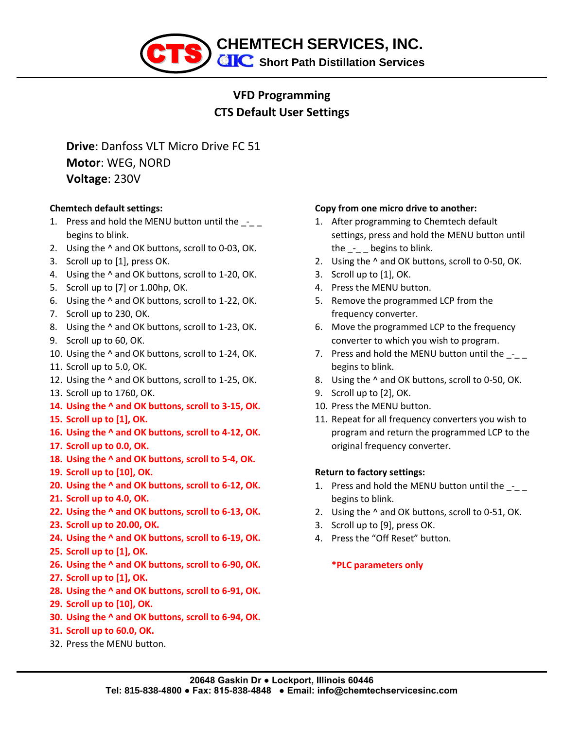

## **VFD Programming CTS Default User Settings**

**Drive**: Danfoss VLT Micro Drive FC 51 **Motor**: WEG, NORD **Voltage**: 230V

### **Chemtech default settings:**

- 1. Press and hold the MENU button until the  $-$ begins to blink.
- 2. Using the ^ and OK buttons, scroll to 0-03, OK.
- 3. Scroll up to [1], press OK.
- 4. Using the ^ and OK buttons, scroll to 1-20, OK.
- 5. Scroll up to [7] or 1.00hp, OK.
- 6. Using the ^ and OK buttons, scroll to 1-22, OK.
- 7. Scroll up to 230, OK.
- 8. Using the ^ and OK buttons, scroll to 1-23, OK.
- 9. Scroll up to 60, OK.
- 10. Using the ^ and OK buttons, scroll to 1-24, OK.
- 11. Scroll up to 5.0, OK.
- 12. Using the ^ and OK buttons, scroll to 1-25, OK.
- 13. Scroll up to 1760, OK.
- **14. Using the ^ and OK buttons, scroll to 3-15, OK.**
- **15. Scroll up to [1], OK.**
- **16. Using the ^ and OK buttons, scroll to 4-12, OK.**
- **17. Scroll up to 0.0, OK.**
- **18. Using the ^ and OK buttons, scroll to 5-4, OK.**
- **19. Scroll up to [10], OK.**
- **20. Using the ^ and OK buttons, scroll to 6-12, OK.**
- **21. Scroll up to 4.0, OK.**
- **22. Using the ^ and OK buttons, scroll to 6-13, OK.**
- **23. Scroll up to 20.00, OK.**
- **24. Using the ^ and OK buttons, scroll to 6-19, OK.**
- **25. Scroll up to [1], OK.**
- **26. Using the ^ and OK buttons, scroll to 6-90, OK.**
- **27. Scroll up to [1], OK.**
- **28. Using the ^ and OK buttons, scroll to 6-91, OK.**
- **29. Scroll up to [10], OK.**
- **30. Using the ^ and OK buttons, scroll to 6-94, OK.**
- **31. Scroll up to 60.0, OK.**
- 32. Press the MENU button.

### **Copy from one micro drive to another:**

- 1. After programming to Chemtech default settings, press and hold the MENU button until the \_-\_ \_ begins to blink.
- 2. Using the ^ and OK buttons, scroll to 0-50, OK.
- 3. Scroll up to [1], OK.
- 4. Press the MENU button.
- 5. Remove the programmed LCP from the frequency converter.
- 6. Move the programmed LCP to the frequency converter to which you wish to program.
- 7. Press and hold the MENU button until the \_-\_\_ begins to blink.
- 8. Using the ^ and OK buttons, scroll to 0-50, OK.
- 9. Scroll up to [2], OK.
- 10. Press the MENU button.
- 11. Repeat for all frequency converters you wish to program and return the programmed LCP to the original frequency converter.

### **Return to factory settings:**

- 1. Press and hold the MENU button until the begins to blink.
- 2. Using the ^ and OK buttons, scroll to 0-51, OK.
- 3. Scroll up to [9], press OK.
- 4. Press the "Off Reset" button.

## **\*PLC parameters only**